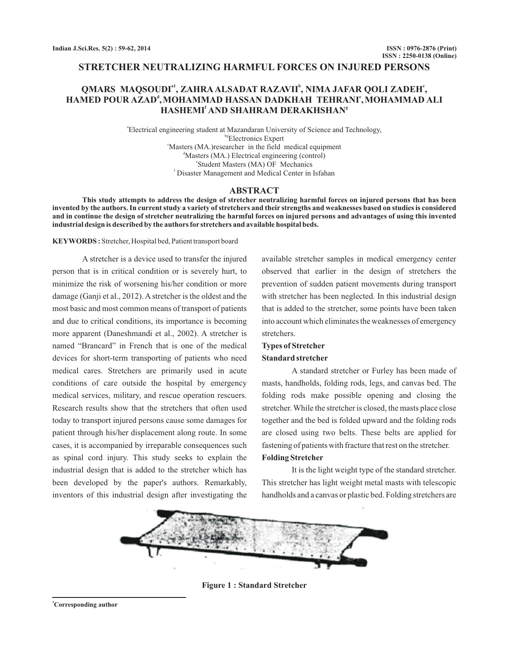#### **STRETCHER NEUTRALIZING HARMFUL FORCES ON INJURED PERSONS**

# **QMARS MAQSOUDI , ZAHRA ALSADAT RAZAVII , NIMA JAFAR QOLI ZADEH , a1 b c** HAMED POUR AZAD<sup>a</sup>,MOHAMMAD HASSAN DADKHAH TEHRANI°,MOHAMMAD ALI  $\mathbf{H}\mathbf{ASHEMI}^{\mathsf{f}}$  and  $\mathbf{SHAHRAM}\ \mathbf{DERAKHSHAN}^{\mathsf{g}}$

a Electrical engineering student at Mazandaran University of Science and Technology, **bg**Electronics Expert Masters (MA.)researcher in the field medical equipment <sup>d</sup>Masters (MA.) Electrical engineering (control) e Student Masters (MA) OF Mechanics f Disaster Management and Medical Center in Isfahan

## **ABSTRACT**

**This study attempts to address the design of stretcher neutralizing harmful forces on injured persons that has been invented by the authors. In current study a variety of stretchers and their strengths and weaknesses based on studies is considered and in continue the design of stretcher neutralizing the harmful forces on injured persons and advantages of using this invented industrial design is described by the authors for stretchers and available hospital beds.**

**KEYWORDS :** Stretcher, Hospital bed, Patient transport board

A stretcher is a device used to transfer the injured person that is in critical condition or is severely hurt, to minimize the risk of worsening his/her condition or more damage (Ganji et al., 2012). A stretcher is the oldest and the most basic and most common means of transport of patients and due to critical conditions, its importance is becoming more apparent (Daneshmandi et al., 2002). A stretcher is named "Brancard" in French that is one of the medical devices for short-term transporting of patients who need medical cares. Stretchers are primarily used in acute conditions of care outside the hospital by emergency medical services, military, and rescue operation rescuers. Research results show that the stretchers that often used today to transport injured persons cause some damages for patient through his/her displacement along route. In some cases, it is accompanied by irreparable consequences such as spinal cord injury. This study seeks to explain the industrial design that is added to the stretcher which has been developed by the paper's authors. Remarkably, inventors of this industrial design after investigating the

available stretcher samples in medical emergency center observed that earlier in the design of stretchers the prevention of sudden patient movements during transport with stretcher has been neglected. In this industrial design that is added to the stretcher, some points have been taken into account which eliminates the weaknesses of emergency stretchers.

# **Types of Stretcher Standard stretcher**

A standard stretcher or Furley has been made of masts, handholds, folding rods, legs, and canvas bed. The folding rods make possible opening and closing the stretcher. While the stretcher is closed, the masts place close together and the bed is folded upward and the folding rods are closed using two belts. These belts are applied for fastening of patients with fracture that rest on the stretcher.

### **Folding Stretcher**

It is the light weight type of the standard stretcher. This stretcher has light weight metal masts with telescopic handholds and a canvas or plastic bed. Folding stretchers are



**Figure 1 : Standard Stretcher**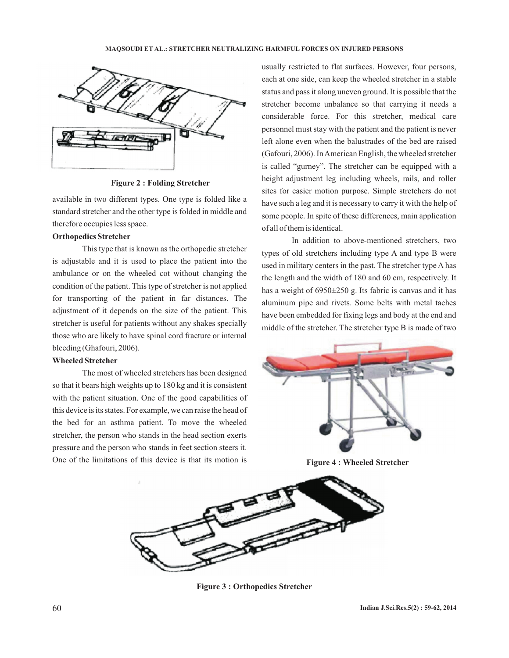

**Figure 2 : Folding Stretcher**

available in two different types. One type is folded like a standard stretcher and the other type is folded in middle and therefore occupies less space.

### **Orthopedics Stretcher**

This type that is known as the orthopedic stretcher is adjustable and it is used to place the patient into the ambulance or on the wheeled cot without changing the condition of the patient. This type of stretcher is not applied for transporting of the patient in far distances. The adjustment of it depends on the size of the patient. This stretcher is useful for patients without any shakes specially those who are likely to have spinal cord fracture or internal bleeding (Ghafouri, 2006).

## **Wheeled Stretcher**

The most of wheeled stretchers has been designed so that it bears high weights up to 180 kg and it is consistent with the patient situation. One of the good capabilities of this device is its states. For example, we can raise the head of the bed for an asthma patient. To move the wheeled stretcher, the person who stands in the head section exerts pressure and the person who stands in feet section steers it. One of the limitations of this device is that its motion is

usually restricted to flat surfaces. However, four persons, each at one side, can keep the wheeled stretcher in a stable status and pass it along uneven ground. It is possible that the stretcher become unbalance so that carrying it needs a considerable force. For this stretcher, medical care personnel must stay with the patient and the patient is never left alone even when the balustrades of the bed are raised (Gafouri, 2006). InAmerican English, the wheeled stretcher is called "gurney". The stretcher can be equipped with a height adjustment leg including wheels, rails, and roller sites for easier motion purpose. Simple stretchers do not have such a leg and it is necessary to carry it with the help of some people. In spite of these differences, main application of all of them is identical.

In addition to above-mentioned stretchers, two types of old stretchers including type A and type B were used in military centers in the past. The stretcher type A has the length and the width of 180 and 60 cm, respectively. It has a weight of 6950±250 g. Its fabric is canvas and it has aluminum pipe and rivets. Some belts with metal taches have been embedded for fixing legs and body at the end and middle of the stretcher. The stretcher type B is made of two



**Figure 4 : Wheeled Stretcher**



**Figure 3 : Orthopedics Stretcher**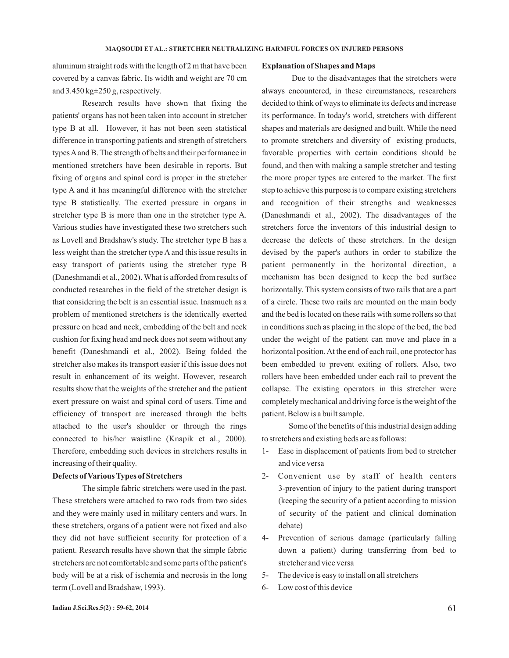aluminum straight rods with the length of 2 m that have been covered by a canvas fabric. Its width and weight are 70 cm and 3.450 kg±250 g, respectively.

Research results have shown that fixing the patients' organs has not been taken into account in stretcher type B at all. However, it has not been seen statistical difference in transporting patients and strength of stretchers typesAand B. The strength of belts and their performance in mentioned stretchers have been desirable in reports. But fixing of organs and spinal cord is proper in the stretcher type A and it has meaningful difference with the stretcher type B statistically. The exerted pressure in organs in stretcher type B is more than one in the stretcher type A. Various studies have investigated these two stretchers such as Lovell and Bradshaw's study. The stretcher type B has a less weight than the stretcher type A and this issue results in easy transport of patients using the stretcher type B (Daneshmandi et al., 2002). What is afforded from results of conducted researches in the field of the stretcher design is that considering the belt is an essential issue. Inasmuch as a problem of mentioned stretchers is the identically exerted pressure on head and neck, embedding of the belt and neck cushion for fixing head and neck does not seem without any benefit (Daneshmandi et al., 2002). Being folded the stretcher also makes its transport easier if this issue does not result in enhancement of its weight. However, research results show that the weights of the stretcher and the patient exert pressure on waist and spinal cord of users. Time and efficiency of transport are increased through the belts attached to the user's shoulder or through the rings connected to his/her waistline (Knapik et al., 2000). Therefore, embedding such devices in stretchers results in increasing of their quality.

# **Defects of Various Types of Stretchers**

The simple fabric stretchers were used in the past. These stretchers were attached to two rods from two sides and they were mainly used in military centers and wars. In these stretchers, organs of a patient were not fixed and also they did not have sufficient security for protection of a patient. Research results have shown that the simple fabric stretchers are not comfortable and some parts of the patient's body will be at a risk of ischemia and necrosis in the long term (Lovell and Bradshaw, 1993).

#### **Explanation of Shapes and Maps**

Due to the disadvantages that the stretchers were always encountered, in these circumstances, researchers decided to think of ways to eliminate its defects and increase its performance. In today's world, stretchers with different shapes and materials are designed and built. While the need to promote stretchers and diversity of existing products, favorable properties with certain conditions should be found, and then with making a sample stretcher and testing the more proper types are entered to the market. The first step to achieve this purpose is to compare existing stretchers and recognition of their strengths and weaknesses (Daneshmandi et al., 2002). The disadvantages of the stretchers force the inventors of this industrial design to decrease the defects of these stretchers. In the design devised by the paper's authors in order to stabilize the patient permanently in the horizontal direction, a mechanism has been designed to keep the bed surface horizontally. This system consists of two rails that are a part of a circle. These two rails are mounted on the main body and the bed is located on these rails with some rollers so that in conditions such as placing in the slope of the bed, the bed under the weight of the patient can move and place in a horizontal position.At the end of each rail, one protector has been embedded to prevent exiting of rollers. Also, two rollers have been embedded under each rail to prevent the collapse. The existing operators in this stretcher were completely mechanical and driving force is the weight of the patient. Below is a built sample.

Some of the benefits of this industrial design adding to stretchers and existing beds are as follows:

- 1- Ease in displacement of patients from bed to stretcher and vice versa
- 2- Convenient use by staff of health centers 3-prevention of injury to the patient during transport (keeping the security of a patient according to mission of security of the patient and clinical domination debate)
- 4- Prevention of serious damage (particularly falling down a patient) during transferring from bed to stretcher and vice versa
- 5- The device is easy to install on all stretchers
- 6- Low cost of this device